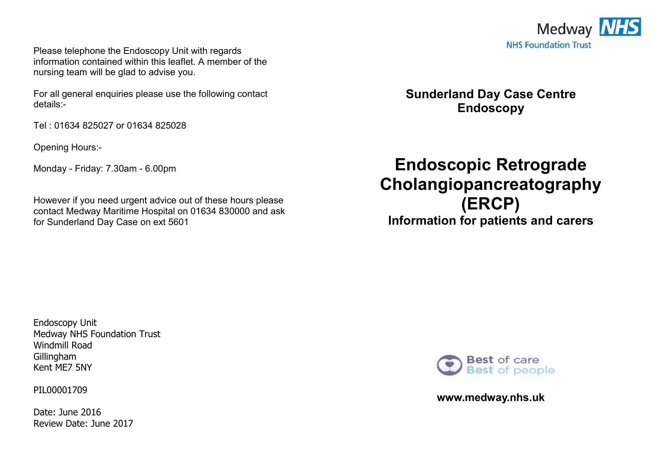

Please telephone the Endoscopy Unit with regards information contained within this leaflet. A member of the nursing team will be glad to advise you.

For all general enquiries please use the following contact details:-

Tel : 01634 825027 or 01634 825028

Opening Hours:-

Monday - Friday: 7.30am - 6.00pm

However if you need urgent advice out of these hours please contact Medway Maritime Hospital on 01634 830000 and ask for Sunderland Day Case on ext 5601

**Sunderland Day Case Centre Endoscopy** 

# **Endoscopic Retrograde Cholangiopancreatography (ERCP) Information for patients and carers**

Endoscopy Unit Medway NHS Foundation Trust Windmill Road Gillingham Kent ME7 5NY

PIL00001709

Date: June 2016 Review Date: June 2017



**www.medway.nhs.uk**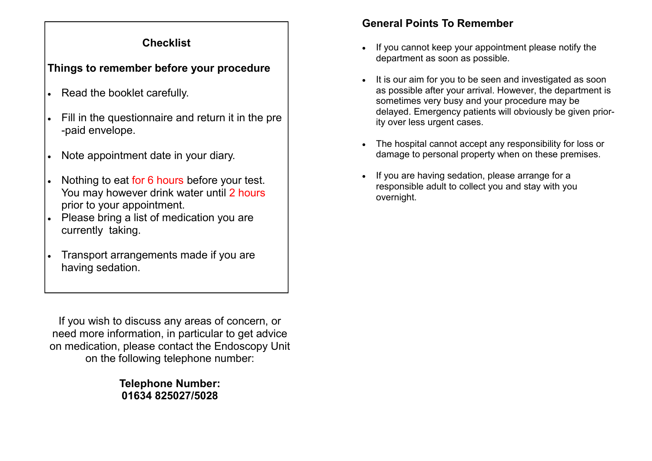# **Checklist**

# **Things to remember before your procedure**

- Read the booklet carefully.
- Fill in the questionnaire and return it in the pre -paid envelope.
- Note appointment date in your diary.
- Nothing to eat for 6 hours before your test. You may however drink water until 2 hours prior to your appointment.
- Please bring a list of medication you are currently taking.
- Transport arrangements made if you are having sedation.

If you wish to discuss any areas of concern, or need more information, in particular to get advice on medication, please contact the Endoscopy Unit on the following telephone number:

> **Telephone Number: 01634 825027/5028**

## **General Points To Remember**

- If you cannot keep your appointment please notify the department as soon as possible.
- It is our aim for you to be seen and investigated as soon as possible after your arrival. However, the department is sometimes very busy and your procedure may be delayed. Emergency patients will obviously be given priority over less urgent cases.
- The hospital cannot accept any responsibility for loss or damage to personal property when on these premises.
- If you are having sedation, please arrange for a responsible adult to collect you and stay with you overnight.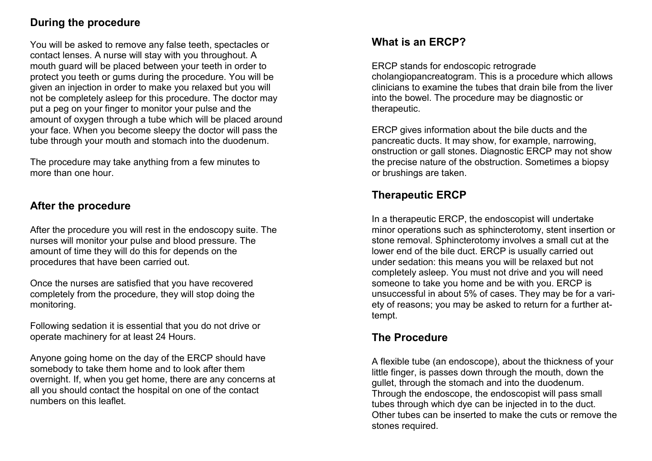## **During the procedure**

You will be asked to remove any false teeth, spectacles or contact lenses. A nurse will stay with you throughout. A mouth guard will be placed between your teeth in order to protect you teeth or gums during the procedure. You will be given an injection in order to make you relaxed but you will not be completely asleep for this procedure. The doctor may put a peg on your finger to monitor your pulse and the amount of oxygen through a tube which will be placed around your face. When you become sleepy the doctor will pass the tube through your mouth and stomach into the duodenum.

The procedure may take anything from a few minutes to more than one hour.

#### **After the procedure**

After the procedure you will rest in the endoscopy suite. The nurses will monitor your pulse and blood pressure. The amount of time they will do this for depends on the procedures that have been carried out.

Once the nurses are satisfied that you have recovered completely from the procedure, they will stop doing the monitoring.

Following sedation it is essential that you do not drive or operate machinery for at least 24 Hours.

Anyone going home on the day of the ERCP should have somebody to take them home and to look after them overnight. If, when you get home, there are any concerns at all you should contact the hospital on one of the contact numbers on this leaflet.

# **What is an ERCP?**

ERCP stands for endoscopic retrograde

cholangiopancreatogram. This is a procedure which allows clinicians to examine the tubes that drain bile from the liver into the bowel. The procedure may be diagnostic or therapeutic.

ERCP gives information about the bile ducts and the pancreatic ducts. It may show, for example, narrowing, onstruction or gall stones. Diagnostic ERCP may not show the precise nature of the obstruction. Sometimes a biopsy or brushings are taken.

# **Therapeutic ERCP**

In a therapeutic ERCP, the endoscopist will undertake minor operations such as sphincterotomy, stent insertion or stone removal. Sphincterotomy involves a small cut at the lower end of the bile duct. ERCP is usually carried out under sedation: this means you will be relaxed but not completely asleep. You must not drive and you will need someone to take you home and be with you. ERCP is unsuccessful in about 5% of cases. They may be for a variety of reasons; you may be asked to return for a further attempt.

#### **The Procedure**

A flexible tube (an endoscope), about the thickness of your little finger, is passes down through the mouth, down the gullet, through the stomach and into the duodenum. Through the endoscope, the endoscopist will pass small tubes through which dye can be injected in to the duct. Other tubes can be inserted to make the cuts or remove the stones required.